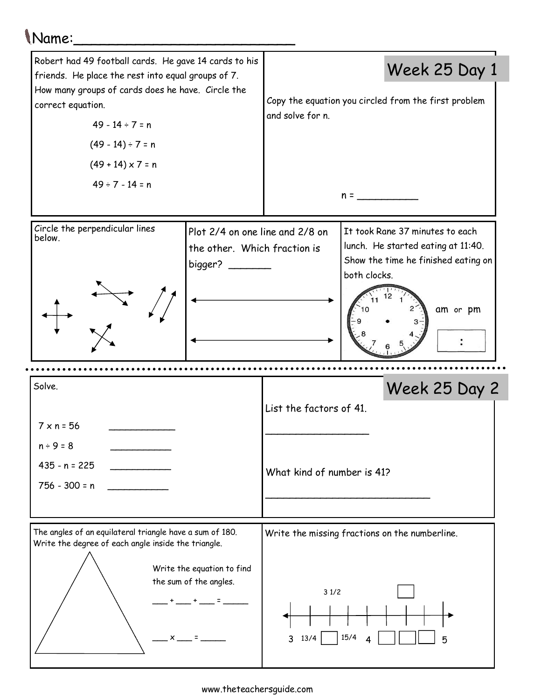## Name:\_\_\_\_\_\_\_\_\_\_\_\_\_\_\_\_\_\_\_\_\_\_\_\_\_

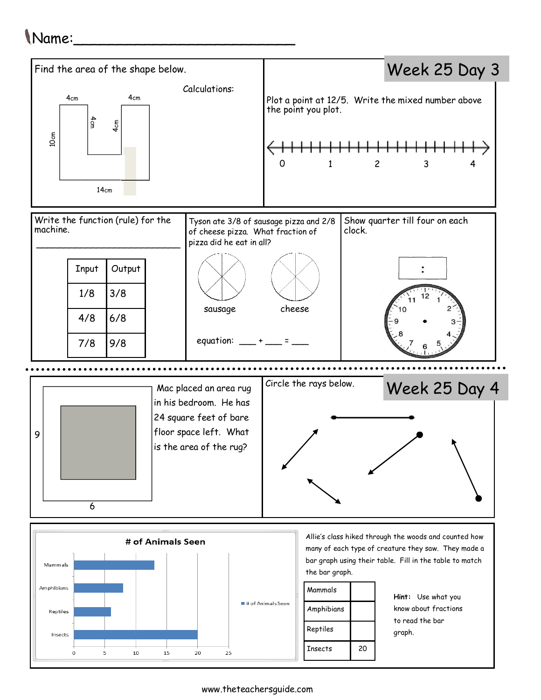## Name:\_\_\_\_\_\_\_\_\_\_\_\_\_\_\_\_\_\_\_\_\_\_\_\_\_